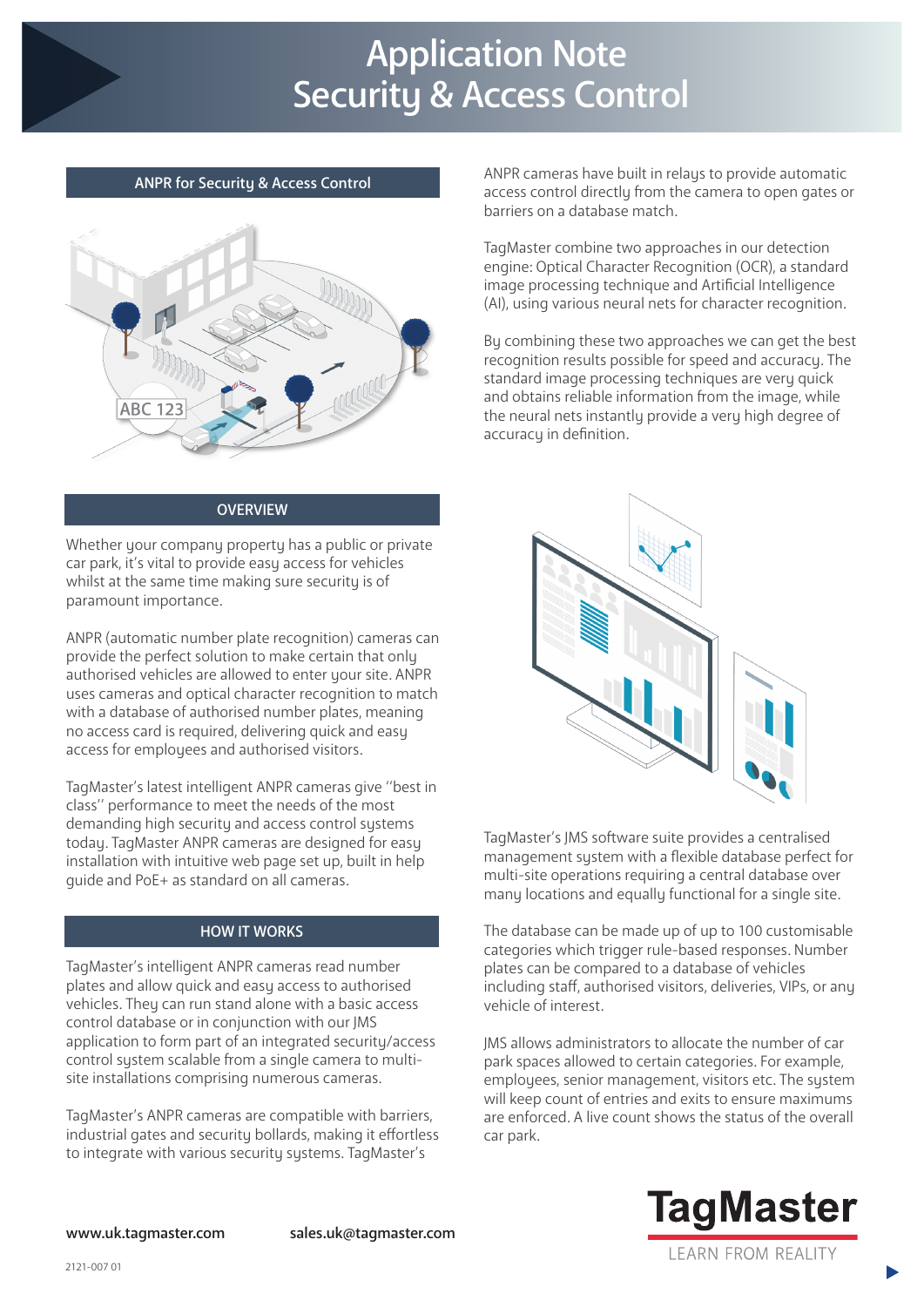# Application Note Security & Access Control



#### **OVERVIEW**

Whether your company property has a public or private car park, it's vital to provide easy access for vehicles whilst at the same time making sure security is of paramount importance.

ANPR (automatic number plate recognition) cameras can provide the perfect solution to make certain that only authorised vehicles are allowed to enter your site. ANPR uses cameras and optical character recognition to match with a database of authorised number plates, meaning no access card is required, delivering quick and easy access for employees and authorised visitors.

TagMaster's latest intelligent ANPR cameras give ''best in class'' performance to meet the needs of the most demanding high security and access control systems today. TagMaster ANPR cameras are designed for easy installation with intuitive web page set up, built in help guide and PoE+ as standard on all cameras.

#### HOW IT WORKS

TagMaster's intelligent ANPR cameras read number plates and allow quick and easy access to authorised vehicles. They can run stand alone with a basic access control database or in conjunction with our JMS application to form part of an integrated security/access control system scalable from a single camera to multisite installations comprising numerous cameras.

TagMaster's ANPR cameras are compatible with barriers, industrial gates and security bollards, making it effortless to integrate with various security systems. TagMaster's

ANPR for Security & Access Control ANPR cameras have built in relays to provide automatic access control directly from the camera to open gates or barriers on a database match.

> TagMaster combine two approaches in our detection engine: Optical Character Recognition (OCR), a standard image processing technique and Artificial Intelligence (AI), using various neural nets for character recognition.

By combining these two approaches we can get the best recognition results possible for speed and accuracy. The standard image processing techniques are very quick and obtains reliable information from the image, while the neural nets instantly provide a very high degree of accuracy in definition.



TagMaster's JMS software suite provides a centralised management system with a flexible database perfect for multi-site operations requiring a central database over many locations and equally functional for a single site.

The database can be made up of up to 100 customisable categories which trigger rule-based responses. Number plates can be compared to a database of vehicles including staff, authorised visitors, deliveries, VIPs, or any vehicle of interest.

JMS allows administrators to allocate the number of car park spaces allowed to certain categories. For example, employees, senior management, visitors etc. The system will keep count of entries and exits to ensure maximums are enforced. A live count shows the status of the overall car park.



www.uk.tagmaster.com sales.uk@tagmaster.com